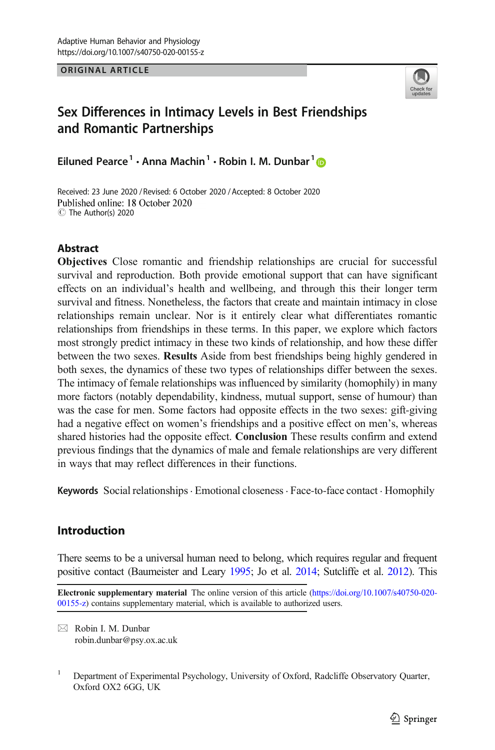**ORIGINAL ARTICLE** 



# Sex Differences in Intimacy Levels in Best Friendships and Romantic Partnerships

Eiluned Pearce<sup>1</sup> • Anna Machin<sup>1</sup> • Robin I. M. Dunbar<sup>1</sup>

Received: 23 June 2020 / Revised: 6 October 2020 / Accepted: 8 October 2020 Published online: 18 October 2020  $\circledcirc$  The Author(s) 2020

## Abstract

Objectives Close romantic and friendship relationships are crucial for successful survival and reproduction. Both provide emotional support that can have significant effects on an individual's health and wellbeing, and through this their longer term survival and fitness. Nonetheless, the factors that create and maintain intimacy in close relationships remain unclear. Nor is it entirely clear what differentiates romantic relationships from friendships in these terms. In this paper, we explore which factors most strongly predict intimacy in these two kinds of relationship, and how these differ between the two sexes. Results Aside from best friendships being highly gendered in both sexes, the dynamics of these two types of relationships differ between the sexes. The intimacy of female relationships was influenced by similarity (homophily) in many more factors (notably dependability, kindness, mutual support, sense of humour) than was the case for men. Some factors had opposite effects in the two sexes: gift-giving had a negative effect on women's friendships and a positive effect on men's, whereas shared histories had the opposite effect. Conclusion These results confirm and extend previous findings that the dynamics of male and female relationships are very different in ways that may reflect differences in their functions.

Keywords Social relationships. Emotional closeness. Face-to-face contact . Homophily

### Introduction

There seems to be a universal human need to belong, which requires regular and frequent positive contact (Baumeister and Leary [1995;](#page-12-0) Jo et al. [2014](#page-14-0); Sutcliffe et al. [2012](#page-15-0)). This

Electronic supplementary material The online version of this article [\(https://doi.org/10.1007/s40750-020-](https://doi.org/10.1007/s40750-020-00155-z) [00155-z](https://doi.org/10.1007/s40750-020-00155-z)) contains supplementary material, which is available to authorized users.

 $\boxtimes$  Robin I. M. Dunbar [robin.dunbar@psy.ox.ac.uk](mailto:robin.dunbar@psy.ox.ac.uk)

<sup>1</sup> Department of Experimental Psychology, University of Oxford, Radcliffe Observatory Quarter, Oxford OX2 6GG, UK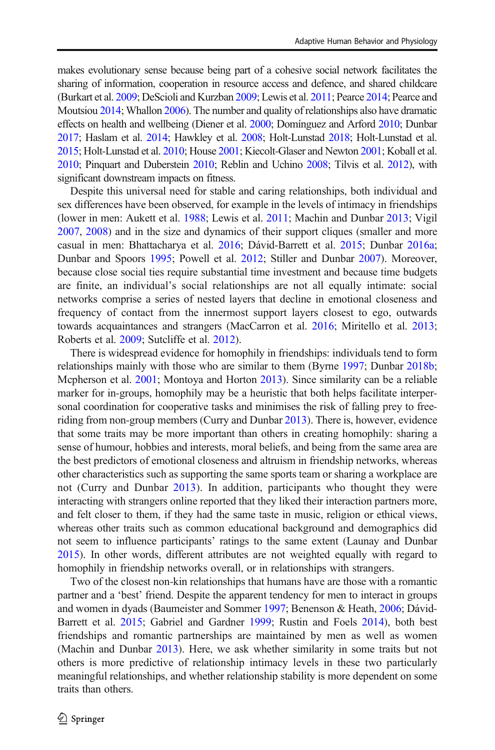makes evolutionary sense because being part of a cohesive social network facilitates the sharing of information, cooperation in resource access and defence, and shared childcare (Burkart et al. [2009;](#page-12-0) DeScioli and Kurzban [2009](#page-13-0); Lewis et al. [2011;](#page-14-0) Pearce [2014;](#page-14-0) Pearce and Moutsiou [2014](#page-14-0); Whallon [2006\)](#page-15-0). The number and quality of relationships also have dramatic effects on health and wellbeing (Diener et al. [2000;](#page-13-0) Domínguez and Arford [2010;](#page-13-0) Dunbar [2017;](#page-13-0) Haslam et al. [2014;](#page-13-0) Hawkley et al. [2008](#page-13-0); Holt-Lunstad [2018;](#page-14-0) Holt-Lunstad et al. [2015;](#page-14-0) Holt-Lunstad et al. [2010;](#page-14-0) House [2001;](#page-14-0) Kiecolt-Glaser and Newton [2001](#page-14-0); Koball et al. [2010;](#page-14-0) Pinquart and Duberstein [2010](#page-14-0); Reblin and Uchino [2008](#page-14-0); Tilvis et al. [2012\)](#page-15-0), with significant downstream impacts on fitness.

Despite this universal need for stable and caring relationships, both individual and sex differences have been observed, for example in the levels of intimacy in friendships (lower in men: Aukett et al. [1988;](#page-12-0) Lewis et al. [2011](#page-14-0); Machin and Dunbar [2013;](#page-14-0) Vigil [2007,](#page-15-0) [2008\)](#page-15-0) and in the size and dynamics of their support cliques (smaller and more casual in men: Bhattacharya et al. [2016](#page-12-0); Dávid-Barrett et al. [2015;](#page-13-0) Dunbar [2016a;](#page-13-0) Dunbar and Spoors [1995;](#page-13-0) Powell et al. [2012;](#page-14-0) Stiller and Dunbar [2007](#page-15-0)). Moreover, because close social ties require substantial time investment and because time budgets are finite, an individual's social relationships are not all equally intimate: social networks comprise a series of nested layers that decline in emotional closeness and frequency of contact from the innermost support layers closest to ego, outwards towards acquaintances and strangers (MacCarron et al. [2016;](#page-14-0) Miritello et al. [2013;](#page-14-0) Roberts et al. [2009;](#page-14-0) Sutcliffe et al. [2012\)](#page-15-0).

There is widespread evidence for homophily in friendships: individuals tend to form relationships mainly with those who are similar to them (Byrne [1997](#page-12-0); Dunbar [2018b;](#page-13-0) Mcpherson et al. [2001;](#page-14-0) Montoya and Horton [2013\)](#page-14-0). Since similarity can be a reliable marker for in-groups, homophily may be a heuristic that both helps facilitate interpersonal coordination for cooperative tasks and minimises the risk of falling prey to freeriding from non-group members (Curry and Dunbar [2013\)](#page-13-0). There is, however, evidence that some traits may be more important than others in creating homophily: sharing a sense of humour, hobbies and interests, moral beliefs, and being from the same area are the best predictors of emotional closeness and altruism in friendship networks, whereas other characteristics such as supporting the same sports team or sharing a workplace are not (Curry and Dunbar [2013](#page-13-0)). In addition, participants who thought they were interacting with strangers online reported that they liked their interaction partners more, and felt closer to them, if they had the same taste in music, religion or ethical views, whereas other traits such as common educational background and demographics did not seem to influence participants' ratings to the same extent (Launay and Dunbar [2015\)](#page-14-0). In other words, different attributes are not weighted equally with regard to homophily in friendship networks overall, or in relationships with strangers.

Two of the closest non-kin relationships that humans have are those with a romantic partner and a 'best' friend. Despite the apparent tendency for men to interact in groups and women in dyads (Baumeister and Sommer [1997;](#page-12-0) Benenson & Heath, [2006](#page-12-0); Dávid-Barrett et al. [2015;](#page-13-0) Gabriel and Gardner [1999;](#page-13-0) Rustin and Foels [2014](#page-15-0)), both best friendships and romantic partnerships are maintained by men as well as women (Machin and Dunbar [2013](#page-14-0)). Here, we ask whether similarity in some traits but not others is more predictive of relationship intimacy levels in these two particularly meaningful relationships, and whether relationship stability is more dependent on some traits than others.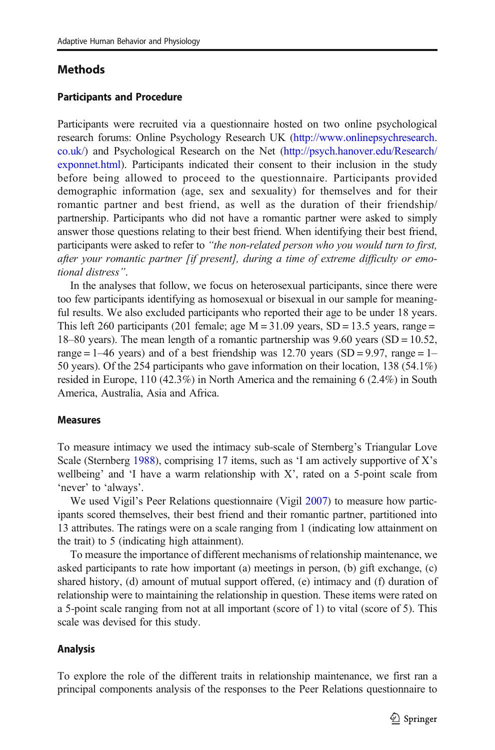### **Methods**

#### Participants and Procedure

Participants were recruited via a questionnaire hosted on two online psychological research forums: Online Psychology Research UK ([http://www.onlinepsychresearch.](http://www.onlinepsychresearch.co.uk/) [co.uk/](http://www.onlinepsychresearch.co.uk/)) and Psychological Research on the Net [\(http://psych.hanover.edu/Research/](http://psych.hanover.edu/Research/exponnet.html) [exponnet.html](http://psych.hanover.edu/Research/exponnet.html)). Participants indicated their consent to their inclusion in the study before being allowed to proceed to the questionnaire. Participants provided demographic information (age, sex and sexuality) for themselves and for their romantic partner and best friend, as well as the duration of their friendship/ partnership. Participants who did not have a romantic partner were asked to simply answer those questions relating to their best friend. When identifying their best friend, participants were asked to refer to "the non-related person who you would turn to first, after your romantic partner [if present], during a time of extreme difficulty or emotional distress".

In the analyses that follow, we focus on heterosexual participants, since there were too few participants identifying as homosexual or bisexual in our sample for meaningful results. We also excluded participants who reported their age to be under 18 years. This left 260 participants (201 female; age  $M = 31.09$  years, SD = 13.5 years, range = 18–80 years). The mean length of a romantic partnership was 9.60 years (SD = 10.52, range =  $1-46$  years) and of a best friendship was 12.70 years (SD = 9.97, range =  $1-$ 50 years). Of the 254 participants who gave information on their location, 138 (54.1%) resided in Europe, 110 (42.3%) in North America and the remaining 6 (2.4%) in South America, Australia, Asia and Africa.

#### Measures

To measure intimacy we used the intimacy sub-scale of Sternberg's Triangular Love Scale (Sternberg [1988\)](#page-15-0), comprising 17 items, such as 'I am actively supportive of X's wellbeing' and 'I have a warm relationship with X', rated on a 5-point scale from 'never' to 'always'.

We used Vigil's Peer Relations questionnaire (Vigil [2007\)](#page-15-0) to measure how participants scored themselves, their best friend and their romantic partner, partitioned into 13 attributes. The ratings were on a scale ranging from 1 (indicating low attainment on the trait) to 5 (indicating high attainment).

To measure the importance of different mechanisms of relationship maintenance, we asked participants to rate how important (a) meetings in person, (b) gift exchange, (c) shared history, (d) amount of mutual support offered, (e) intimacy and (f) duration of relationship were to maintaining the relationship in question. These items were rated on a 5-point scale ranging from not at all important (score of 1) to vital (score of 5). This scale was devised for this study.

#### Analysis

To explore the role of the different traits in relationship maintenance, we first ran a principal components analysis of the responses to the Peer Relations questionnaire to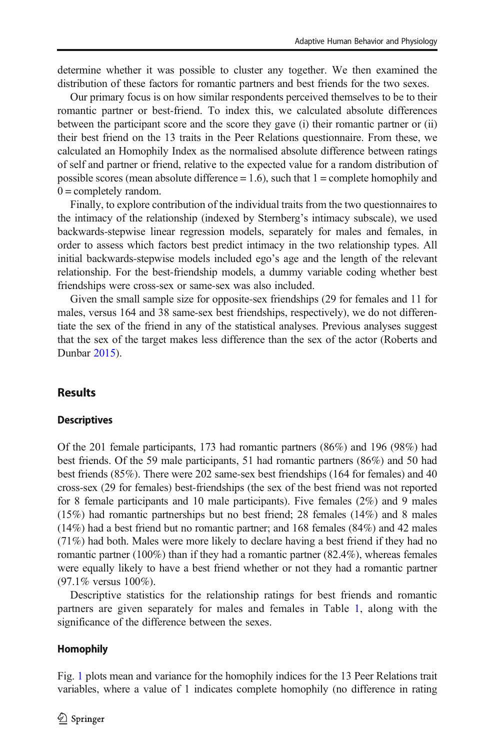determine whether it was possible to cluster any together. We then examined the distribution of these factors for romantic partners and best friends for the two sexes.

Our primary focus is on how similar respondents perceived themselves to be to their romantic partner or best-friend. To index this, we calculated absolute differences between the participant score and the score they gave (i) their romantic partner or (ii) their best friend on the 13 traits in the Peer Relations questionnaire. From these, we calculated an Homophily Index as the normalised absolute difference between ratings of self and partner or friend, relative to the expected value for a random distribution of possible scores (mean absolute difference  $= 1.6$ ), such that  $1 =$  complete homophily and  $0 =$  completely random.

Finally, to explore contribution of the individual traits from the two questionnaires to the intimacy of the relationship (indexed by Sternberg's intimacy subscale), we used backwards-stepwise linear regression models, separately for males and females, in order to assess which factors best predict intimacy in the two relationship types. All initial backwards-stepwise models included ego's age and the length of the relevant relationship. For the best-friendship models, a dummy variable coding whether best friendships were cross-sex or same-sex was also included.

Given the small sample size for opposite-sex friendships (29 for females and 11 for males, versus 164 and 38 same-sex best friendships, respectively), we do not differentiate the sex of the friend in any of the statistical analyses. Previous analyses suggest that the sex of the target makes less difference than the sex of the actor (Roberts and Dunbar [2015\)](#page-14-0).

### **Results**

### **Descriptives**

Of the 201 female participants, 173 had romantic partners (86%) and 196 (98%) had best friends. Of the 59 male participants, 51 had romantic partners (86%) and 50 had best friends (85%). There were 202 same-sex best friendships (164 for females) and 40 cross-sex (29 for females) best-friendships (the sex of the best friend was not reported for 8 female participants and 10 male participants). Five females (2%) and 9 males (15%) had romantic partnerships but no best friend; 28 females (14%) and 8 males (14%) had a best friend but no romantic partner; and 168 females (84%) and 42 males (71%) had both. Males were more likely to declare having a best friend if they had no romantic partner  $(100\%)$  than if they had a romantic partner  $(82.4\%)$ , whereas females were equally likely to have a best friend whether or not they had a romantic partner (97.1% versus 100%).

Descriptive statistics for the relationship ratings for best friends and romantic partners are given separately for males and females in Table [1,](#page-4-0) along with the significance of the difference between the sexes.

### Homophily

Fig. [1](#page-5-0) plots mean and variance for the homophily indices for the 13 Peer Relations trait variables, where a value of 1 indicates complete homophily (no difference in rating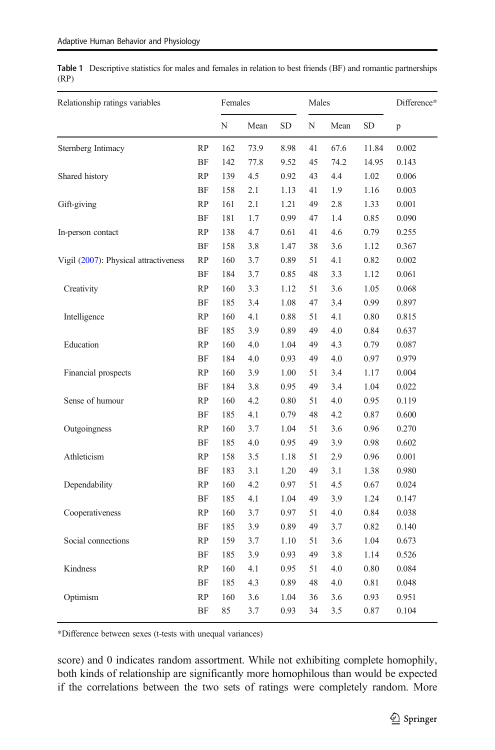<span id="page-4-0"></span>Table 1 Descriptive statistics for males and females in relation to best friends (BF) and romantic partnerships (RP)

| Relationship ratings variables        |           | Females |      |      | Males |      |          | Difference* |  |
|---------------------------------------|-----------|---------|------|------|-------|------|----------|-------------|--|
|                                       |           | N       | Mean | SD   | N     | Mean | SD       | p           |  |
| Sternberg Intimacy                    | RP        | 162     | 73.9 | 8.98 | 41    | 67.6 | 11.84    | 0.002       |  |
|                                       | ΒF        | 142     | 77.8 | 9.52 | 45    | 74.2 | 14.95    | 0.143       |  |
| Shared history                        | RP        | 139     | 4.5  | 0.92 | 43    | 4.4  | 1.02     | 0.006       |  |
|                                       | ΒF        | 158     | 2.1  | 1.13 | 41    | 1.9  | 1.16     | 0.003       |  |
| Gift-giving                           | <b>RP</b> | 161     | 2.1  | 1.21 | 49    | 2.8  | 1.33     | 0.001       |  |
|                                       | ΒF        | 181     | 1.7  | 0.99 | 47    | 1.4  | 0.85     | 0.090       |  |
| In-person contact                     | <b>RP</b> | 138     | 4.7  | 0.61 | 41    | 4.6  | 0.79     | 0.255       |  |
|                                       | BF        | 158     | 3.8  | 1.47 | 38    | 3.6  | 1.12     | 0.367       |  |
| Vigil (2007): Physical attractiveness | RP        | 160     | 3.7  | 0.89 | 51    | 4.1  | 0.82     | 0.002       |  |
|                                       | BF        | 184     | 3.7  | 0.85 | 48    | 3.3  | 1.12     | 0.061       |  |
| Creativity                            | <b>RP</b> | 160     | 3.3  | 1.12 | 51    | 3.6  | 1.05     | 0.068       |  |
|                                       | ΒF        | 185     | 3.4  | 1.08 | 47    | 3.4  | 0.99     | 0.897       |  |
| Intelligence                          | <b>RP</b> | 160     | 4.1  | 0.88 | 51    | 4.1  | 0.80     | 0.815       |  |
|                                       | ΒF        | 185     | 3.9  | 0.89 | 49    | 4.0  | 0.84     | 0.637       |  |
| Education                             | <b>RP</b> | 160     | 4.0  | 1.04 | 49    | 4.3  | 0.79     | 0.087       |  |
|                                       | ΒF        | 184     | 4.0  | 0.93 | 49    | 4.0  | 0.97     | 0.979       |  |
| Financial prospects                   | <b>RP</b> | 160     | 3.9  | 1.00 | 51    | 3.4  | 1.17     | 0.004       |  |
|                                       | BF        | 184     | 3.8  | 0.95 | 49    | 3.4  | 1.04     | 0.022       |  |
| Sense of humour                       | <b>RP</b> | 160     | 4.2  | 0.80 | 51    | 4.0  | 0.95     | 0.119       |  |
|                                       | BF        | 185     | 4.1  | 0.79 | 48    | 4.2  | 0.87     | 0.600       |  |
| Outgoingness                          | <b>RP</b> | 160     | 3.7  | 1.04 | 51    | 3.6  | 0.96     | 0.270       |  |
|                                       | BF        | 185     | 4.0  | 0.95 | 49    | 3.9  | 0.98     | 0.602       |  |
| Athleticism                           | <b>RP</b> | 158     | 3.5  | 1.18 | 51    | 2.9  | 0.96     | 0.001       |  |
|                                       | BF        | 183     | 3.1  | 1.20 | 49    | 3.1  | 1.38     | 0.980       |  |
| Dependability                         | <b>RP</b> | 160     | 4.2  | 0.97 | 51    | 4.5  | 0.67     | 0.024       |  |
|                                       | BF        | 185     | 4.1  | 1.04 | 49    | 3.9  | 1.24     | 0.147       |  |
| Cooperativeness                       | <b>RP</b> | 160     | 3.7  | 0.97 | 51    | 4.0  | 0.84     | 0.038       |  |
|                                       | BF        | 185     | 3.9  | 0.89 | 49    | 3.7  | 0.82     | 0.140       |  |
| Social connections                    | <b>RP</b> | 159     | 3.7  | 1.10 | 51    | 3.6  | 1.04     | 0.673       |  |
|                                       | BF        | 185     | 3.9  | 0.93 | 49    | 3.8  | 1.14     | 0.526       |  |
| Kindness                              | <b>RP</b> | 160     | 4.1  | 0.95 | 51    | 4.0  | $0.80\,$ | 0.084       |  |
|                                       | ΒF        | 185     | 4.3  | 0.89 | 48    | 4.0  | 0.81     | 0.048       |  |
| Optimism                              | <b>RP</b> | 160     | 3.6  | 1.04 | 36    | 3.6  | 0.93     | 0.951       |  |
|                                       | ΒF        | 85      | 3.7  | 0.93 | 34    | 3.5  | 0.87     | 0.104       |  |

\*Difference between sexes (t-tests with unequal variances)

score) and 0 indicates random assortment. While not exhibiting complete homophily, both kinds of relationship are significantly more homophilous than would be expected if the correlations between the two sets of ratings were completely random. More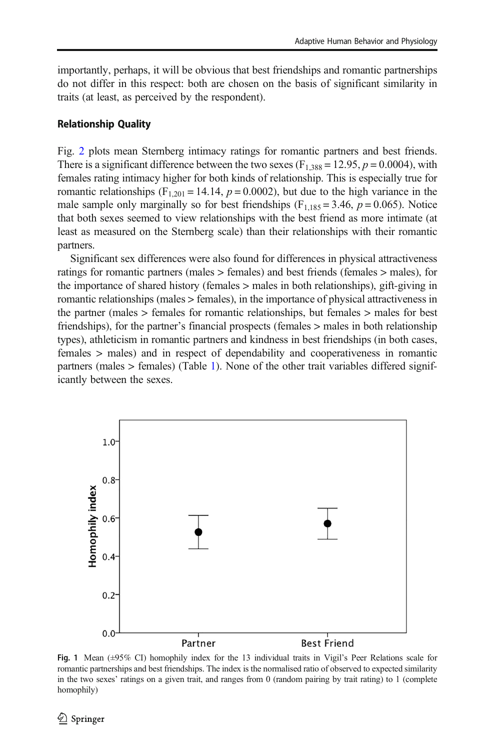<span id="page-5-0"></span>importantly, perhaps, it will be obvious that best friendships and romantic partnerships do not differ in this respect: both are chosen on the basis of significant similarity in traits (at least, as perceived by the respondent).

#### Relationship Quality

Fig. [2](#page-6-0) plots mean Sternberg intimacy ratings for romantic partners and best friends. There is a significant difference between the two sexes ( $F_{1,388} = 12.95$ ,  $p = 0.0004$ ), with females rating intimacy higher for both kinds of relationship. This is especially true for romantic relationships  $(F_{1,201} = 14.14, p = 0.0002)$ , but due to the high variance in the male sample only marginally so for best friendships  $(F_{1,185} = 3.46, p = 0.065)$ . Notice that both sexes seemed to view relationships with the best friend as more intimate (at least as measured on the Sternberg scale) than their relationships with their romantic partners.

Significant sex differences were also found for differences in physical attractiveness ratings for romantic partners (males > females) and best friends (females > males), for the importance of shared history (females > males in both relationships), gift-giving in romantic relationships (males > females), in the importance of physical attractiveness in the partner (males > females for romantic relationships, but females > males for best friendships), for the partner's financial prospects (females > males in both relationship types), athleticism in romantic partners and kindness in best friendships (in both cases, females > males) and in respect of dependability and cooperativeness in romantic partners (males  $>$  females) (Table [1\)](#page-4-0). None of the other trait variables differed significantly between the sexes.



Fig. 1 Mean (±95% CI) homophily index for the 13 individual traits in Vigil's Peer Relations scale for romantic partnerships and best friendships. The index is the normalised ratio of observed to expected similarity in the two sexes' ratings on a given trait, and ranges from 0 (random pairing by trait rating) to 1 (complete homophily)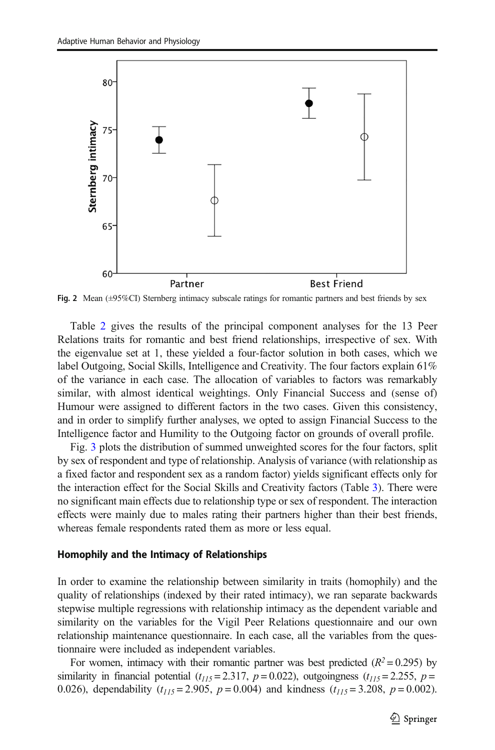<span id="page-6-0"></span>

Fig. 2 Mean (±95%CI) Sternberg intimacy subscale ratings for romantic partners and best friends by sex

Table [2](#page-7-0) gives the results of the principal component analyses for the 13 Peer Relations traits for romantic and best friend relationships, irrespective of sex. With the eigenvalue set at 1, these yielded a four-factor solution in both cases, which we label Outgoing, Social Skills, Intelligence and Creativity. The four factors explain 61% of the variance in each case. The allocation of variables to factors was remarkably similar, with almost identical weightings. Only Financial Success and (sense of) Humour were assigned to different factors in the two cases. Given this consistency, and in order to simplify further analyses, we opted to assign Financial Success to the Intelligence factor and Humility to the Outgoing factor on grounds of overall profile.

Fig. [3](#page-8-0) plots the distribution of summed unweighted scores for the four factors, split by sex of respondent and type of relationship. Analysis of variance (with relationship as a fixed factor and respondent sex as a random factor) yields significant effects only for the interaction effect for the Social Skills and Creativity factors (Table [3\)](#page-8-0). There were no significant main effects due to relationship type or sex of respondent. The interaction effects were mainly due to males rating their partners higher than their best friends, whereas female respondents rated them as more or less equal.

#### Homophily and the Intimacy of Relationships

In order to examine the relationship between similarity in traits (homophily) and the quality of relationships (indexed by their rated intimacy), we ran separate backwards stepwise multiple regressions with relationship intimacy as the dependent variable and similarity on the variables for the Vigil Peer Relations questionnaire and our own relationship maintenance questionnaire. In each case, all the variables from the questionnaire were included as independent variables.

For women, intimacy with their romantic partner was best predicted ( $R^2 = 0.295$ ) by similarity in financial potential ( $t_{115} = 2.317$ ,  $p = 0.022$ ), outgoingness ( $t_{115} = 2.255$ ,  $p =$ 0.026), dependability  $(t_{115} = 2.905, p = 0.004)$  and kindness  $(t_{115} = 3.208, p = 0.002)$ .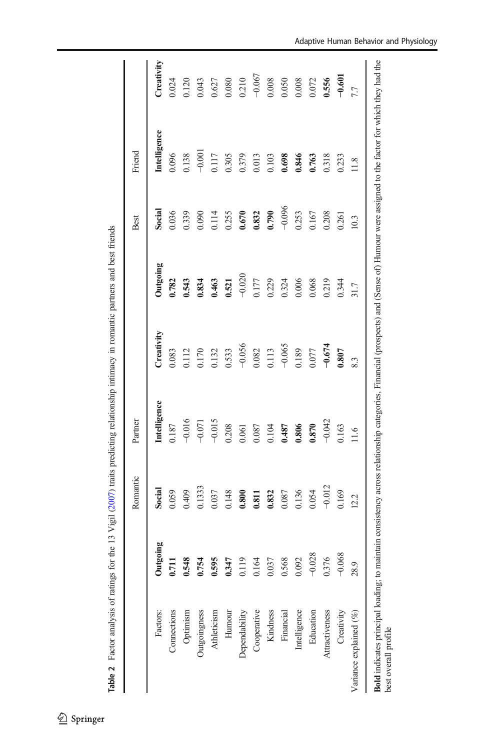<span id="page-7-0"></span>

|                                                                                                                                                                                                                  |           | Romantic | Partner      |            |          | Best     | Friend       |            |
|------------------------------------------------------------------------------------------------------------------------------------------------------------------------------------------------------------------|-----------|----------|--------------|------------|----------|----------|--------------|------------|
| Factors:                                                                                                                                                                                                         | Outgoing  | Social   | Intelligence | Creativity | Outgoing | Social   | Intelligence | Creativity |
| Connections                                                                                                                                                                                                      | 0.71      | 0.059    | 0.187        | 0.083      | 0.782    | 0.036    | 0.096        | 0.024      |
| Optimism                                                                                                                                                                                                         | 0.54      | 0.409    | $-0.016$     | 1.112      | 0.543    | 0.339    | 0.138        | 0.120      |
| Outgoingness                                                                                                                                                                                                     | 0.75      | 0.1333   | $-0.071$     | 0.170      | 0.834    | 0.090    | $-0.001$     | 0.043      |
| Athleticism                                                                                                                                                                                                      | 0.59      | 0.037    | $-0.015$     | 0.132      | 0.463    | 0.114    | 0.117        | 0.627      |
| Humour                                                                                                                                                                                                           | 0.34      | 0.148    | 0.208        | 0.533      | 0.521    | 0.255    | 0.305        | 0.080      |
| Dependability                                                                                                                                                                                                    | O<br>0.11 | 0.800    | 0.061        | $-0.056$   | $-0.020$ | 0.670    | 0.379        | 0.210      |
| Cooperative                                                                                                                                                                                                      | 0.164     | 0.811    | 0.087        | 0.082      | 0.177    | 0.832    | 0.013        | $-0.067$   |
| Kindness                                                                                                                                                                                                         | 0.037     | 0.832    | 0.104        | 0.113      | 0.229    | 0.790    | 0.103        | 0.008      |
| Financial                                                                                                                                                                                                        | 0.568     | 0.087    | 0.487        | $-0.065$   | 0.324    | $-0.096$ | 0.698        | 0.050      |
| Intelligence                                                                                                                                                                                                     | 0.092     | 0.136    | 0.806        | 0.189      | 0.006    | 0.253    | 0.846        | 0.008      |
| Education                                                                                                                                                                                                        | $-0.028$  | 0.054    | 0.870        | 0.077      | 0.068    | 0.167    | 0.763        | 0.072      |
| Attractiveness                                                                                                                                                                                                   | 0.376     | $-0.012$ | $-0.042$     | $-0.674$   | 0.219    | 0.208    | 0.318        | 0.556      |
| Creativity                                                                                                                                                                                                       | $-0.068$  | 0.169    | 0.163        | 0.807      | 0.344    | 0.261    | 0.233        | $-0.601$   |
| Variance explained (%)                                                                                                                                                                                           | 28.9      | 12.2     | 11.6         | 8.3        | 31.7     | 10.3     | 11.8         | 7.7        |
| Bold indicates principal loading; to maintain consistency across relationship categories, Financial (prospects) and (Sense of) Humour were assigned to the factor for which they had the<br>best overall profile |           |          |              |            |          |          |              |            |

Adaptive Human Behavior and Physiology

Table 2 Factor analysis of ratings for the 13 Vigil [\(2007](#page-15-0)) traits predicting relationship intimacy in romantic partners and best friends

Table 2 Factor analysis of ratings for the 13 Vigil (2007) traits predicting relationship intimacy in romantic partners and best friends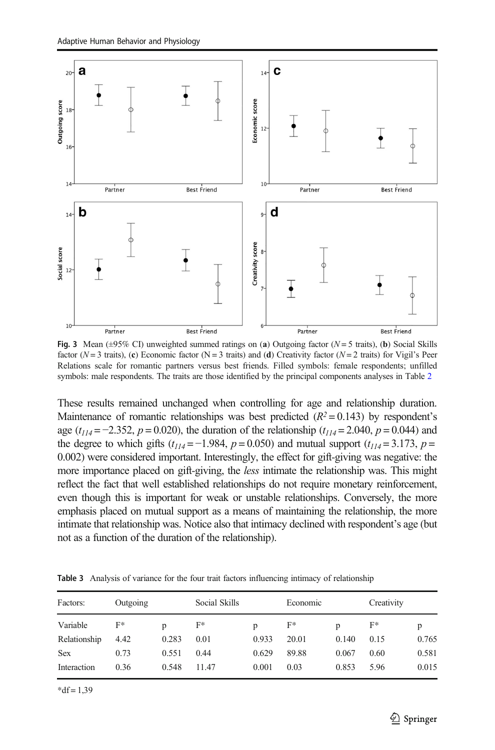<span id="page-8-0"></span>

Fig. 3 Mean  $(\pm 95\% \text{ CI})$  unweighted summed ratings on (a) Outgoing factor ( $N = 5$  traits), (b) Social Skills factor ( $N = 3$  traits), (c) Economic factor ( $N = 3$  traits) and (d) Creativity factor ( $N = 2$  traits) for Vigil's Peer Relations scale for romantic partners versus best friends. Filled symbols: female respondents; unfilled symbols: male respondents. The traits are those identified by the principal components analyses in Table [2](#page-7-0)

These results remained unchanged when controlling for age and relationship duration. Maintenance of romantic relationships was best predicted  $(R^2 = 0.143)$  by respondent's age ( $t_{114} = -2.352$ ,  $p = 0.020$ ), the duration of the relationship ( $t_{114} = 2.040$ ,  $p = 0.044$ ) and the degree to which gifts ( $t_{114} = -1.984$ ,  $p = 0.050$ ) and mutual support ( $t_{114} = 3.173$ ,  $p =$ 0.002) were considered important. Interestingly, the effect for gift-giving was negative: the more importance placed on gift-giving, the *less* intimate the relationship was. This might reflect the fact that well established relationships do not require monetary reinforcement, even though this is important for weak or unstable relationships. Conversely, the more emphasis placed on mutual support as a means of maintaining the relationship, the more intimate that relationship was. Notice also that intimacy declined with respondent's age (but not as a function of the duration of the relationship).

| Factors:     | Outgoing |       | Social Skills |       | Economic |       | Creativity |       |
|--------------|----------|-------|---------------|-------|----------|-------|------------|-------|
| Variable     | F*       | D     | F*            | D     | F*       | Ď     | F*         | p     |
| Relationship | 4.42     | 0.283 | 0.01          | 0.933 | 20.01    | 0.140 | 0.15       | 0.765 |
| <b>Sex</b>   | 0.73     | 0.551 | 0.44          | 0.629 | 89.88    | 0.067 | 0.60       | 0.581 |
| Interaction  | 0.36     | 0.548 | 11.47         | 0.001 | 0.03     | 0.853 | 5.96       | 0.015 |

Table 3 Analysis of variance for the four trait factors influencing intimacy of relationship

 $*df = 1,39$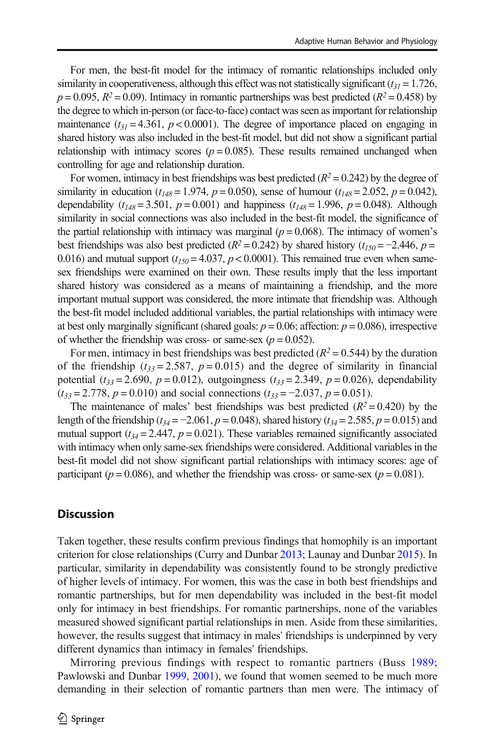For men, the best-fit model for the intimacy of romantic relationships included only similarity in cooperativeness, although this effect was not statistically significant  $(t_{31} = 1.726$ ,  $p = 0.095$ ,  $R^2 = 0.09$ ). Intimacy in romantic partnerships was best predicted ( $R^2 = 0.458$ ) by the degree to which in-person (or face-to-face) contact was seen as important for relationship maintenance  $(t_{31} = 4.361, p < 0.0001)$ . The degree of importance placed on engaging in shared history was also included in the best-fit model, but did not show a significant partial relationship with intimacy scores  $(p = 0.085)$ . These results remained unchanged when controlling for age and relationship duration.

For women, intimacy in best friendships was best predicted ( $R<sup>2</sup> = 0.242$ ) by the degree of similarity in education ( $t_{148} = 1.974$ ,  $p = 0.050$ ), sense of humour ( $t_{148} = 2.052$ ,  $p = 0.042$ ), dependability  $(t_{148} = 3.501, p = 0.001)$  and happiness  $(t_{148} = 1.996, p = 0.048)$ . Although similarity in social connections was also included in the best-fit model, the significance of the partial relationship with intimacy was marginal ( $p = 0.068$ ). The intimacy of women's best friendships was also best predicted ( $R^2 = 0.242$ ) by shared history ( $t_{150} = -2.446$ ,  $p =$ 0.016) and mutual support ( $t_{150}$  = 4.037,  $p$  < 0.0001). This remained true even when samesex friendships were examined on their own. These results imply that the less important shared history was considered as a means of maintaining a friendship, and the more important mutual support was considered, the more intimate that friendship was. Although the best-fit model included additional variables, the partial relationships with intimacy were at best only marginally significant (shared goals:  $p = 0.06$ ; affection:  $p = 0.086$ ), irrespective of whether the friendship was cross- or same-sex  $(p = 0.052)$ .

For men, intimacy in best friendships was best predicted  $(R^2 = 0.544)$  by the duration of the friendship ( $t_{33} = 2.587$ ,  $p = 0.015$ ) and the degree of similarity in financial potential ( $t_{33} = 2.690$ ,  $p = 0.012$ ), outgoingness ( $t_{33} = 2.349$ ,  $p = 0.026$ ), dependability  $(t_{33} = 2.778, p = 0.010)$  and social connections  $(t_{33} = -2.037, p = 0.051)$ .

The maintenance of males' best friendships was best predicted ( $R^2 = 0.420$ ) by the length of the friendship ( $t_{34} = -2.061$ ,  $p = 0.048$ ), shared history ( $t_{34} = 2.585$ ,  $p = 0.015$ ) and mutual support ( $t_{34} = 2.447$ ,  $p = 0.021$ ). These variables remained significantly associated with intimacy when only same-sex friendships were considered. Additional variables in the best-fit model did not show significant partial relationships with intimacy scores: age of participant ( $p = 0.086$ ), and whether the friendship was cross- or same-sex ( $p = 0.081$ ).

#### **Discussion**

Taken together, these results confirm previous findings that homophily is an important criterion for close relationships (Curry and Dunbar [2013](#page-13-0); Launay and Dunbar [2015](#page-14-0)). In particular, similarity in dependability was consistently found to be strongly predictive of higher levels of intimacy. For women, this was the case in both best friendships and romantic partnerships, but for men dependability was included in the best-fit model only for intimacy in best friendships. For romantic partnerships, none of the variables measured showed significant partial relationships in men. Aside from these similarities, however, the results suggest that intimacy in males' friendships is underpinned by very different dynamics than intimacy in females' friendships.

Mirroring previous findings with respect to romantic partners (Buss [1989;](#page-12-0) Pawlowski and Dunbar [1999,](#page-14-0) [2001\)](#page-14-0), we found that women seemed to be much more demanding in their selection of romantic partners than men were. The intimacy of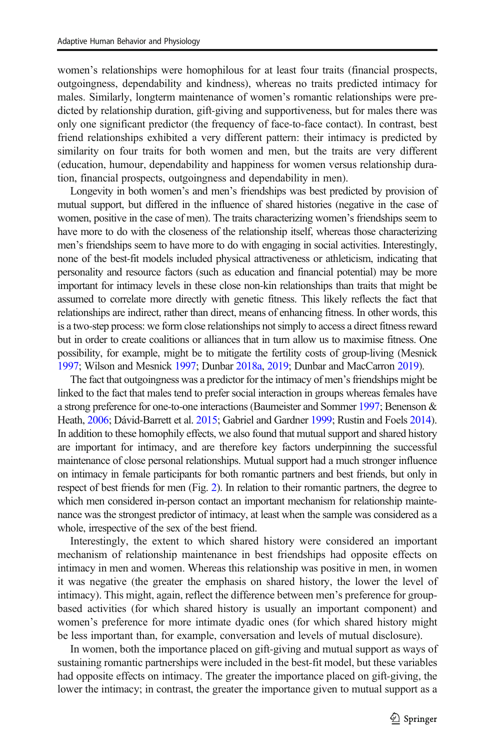women's relationships were homophilous for at least four traits (financial prospects, outgoingness, dependability and kindness), whereas no traits predicted intimacy for males. Similarly, longterm maintenance of women's romantic relationships were predicted by relationship duration, gift-giving and supportiveness, but for males there was only one significant predictor (the frequency of face-to-face contact). In contrast, best friend relationships exhibited a very different pattern: their intimacy is predicted by similarity on four traits for both women and men, but the traits are very different (education, humour, dependability and happiness for women versus relationship duration, financial prospects, outgoingness and dependability in men).

Longevity in both women's and men's friendships was best predicted by provision of mutual support, but differed in the influence of shared histories (negative in the case of women, positive in the case of men). The traits characterizing women's friendships seem to have more to do with the closeness of the relationship itself, whereas those characterizing men's friendships seem to have more to do with engaging in social activities. Interestingly, none of the best-fit models included physical attractiveness or athleticism, indicating that personality and resource factors (such as education and financial potential) may be more important for intimacy levels in these close non-kin relationships than traits that might be assumed to correlate more directly with genetic fitness. This likely reflects the fact that relationships are indirect, rather than direct, means of enhancing fitness. In other words, this is a two-step process: we form close relationships not simply to access a direct fitness reward but in order to create coalitions or alliances that in turn allow us to maximise fitness. One possibility, for example, might be to mitigate the fertility costs of group-living (Mesnick [1997;](#page-14-0) Wilson and Mesnick [1997;](#page-15-0) Dunbar [2018a,](#page-13-0) [2019](#page-13-0); Dunbar and MacCarron [2019\)](#page-13-0).

The fact that outgoingness was a predictor for the intimacy of men's friendships might be linked to the fact that males tend to prefer social interaction in groups whereas females have a strong preference for one-to-one interactions (Baumeister and Sommer [1997](#page-12-0); Benenson & Heath, [2006](#page-12-0); Dávid-Barrett et al. [2015](#page-13-0); Gabriel and Gardner [1999;](#page-13-0) Rustin and Foels [2014\)](#page-15-0). In addition to these homophily effects, we also found that mutual support and shared history are important for intimacy, and are therefore key factors underpinning the successful maintenance of close personal relationships. Mutual support had a much stronger influence on intimacy in female participants for both romantic partners and best friends, but only in respect of best friends for men (Fig. [2](#page-6-0)). In relation to their romantic partners, the degree to which men considered in-person contact an important mechanism for relationship maintenance was the strongest predictor of intimacy, at least when the sample was considered as a whole, irrespective of the sex of the best friend.

Interestingly, the extent to which shared history were considered an important mechanism of relationship maintenance in best friendships had opposite effects on intimacy in men and women. Whereas this relationship was positive in men, in women it was negative (the greater the emphasis on shared history, the lower the level of intimacy). This might, again, reflect the difference between men's preference for groupbased activities (for which shared history is usually an important component) and women's preference for more intimate dyadic ones (for which shared history might be less important than, for example, conversation and levels of mutual disclosure).

In women, both the importance placed on gift-giving and mutual support as ways of sustaining romantic partnerships were included in the best-fit model, but these variables had opposite effects on intimacy. The greater the importance placed on gift-giving, the lower the intimacy; in contrast, the greater the importance given to mutual support as a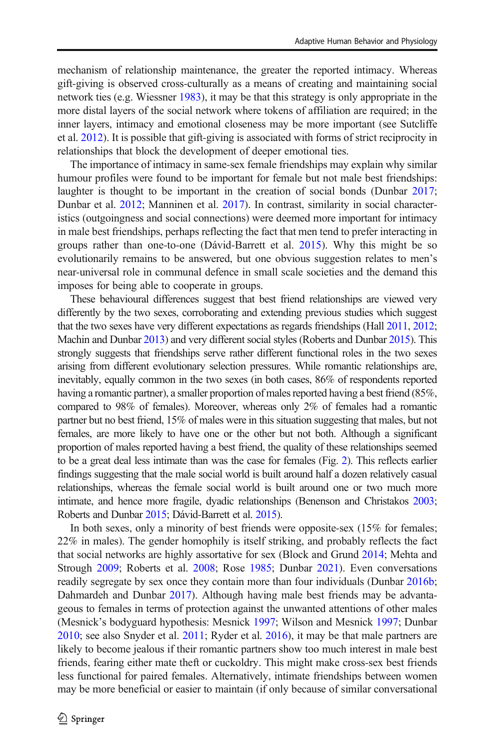mechanism of relationship maintenance, the greater the reported intimacy. Whereas gift-giving is observed cross-culturally as a means of creating and maintaining social network ties (e.g. Wiessner [1983\)](#page-15-0), it may be that this strategy is only appropriate in the more distal layers of the social network where tokens of affiliation are required; in the inner layers, intimacy and emotional closeness may be more important (see Sutcliffe et al. [2012](#page-15-0)). It is possible that gift-giving is associated with forms of strict reciprocity in relationships that block the development of deeper emotional ties.

The importance of intimacy in same-sex female friendships may explain why similar humour profiles were found to be important for female but not male best friendships: laughter is thought to be important in the creation of social bonds (Dunbar [2017;](#page-13-0) Dunbar et al. [2012;](#page-13-0) Manninen et al. [2017](#page-14-0)). In contrast, similarity in social characteristics (outgoingness and social connections) were deemed more important for intimacy in male best friendships, perhaps reflecting the fact that men tend to prefer interacting in groups rather than one-to-one (Dávid-Barrett et al. [2015\)](#page-13-0). Why this might be so evolutionarily remains to be answered, but one obvious suggestion relates to men's near-universal role in communal defence in small scale societies and the demand this imposes for being able to cooperate in groups.

These behavioural differences suggest that best friend relationships are viewed very differently by the two sexes, corroborating and extending previous studies which suggest that the two sexes have very different expectations as regards friendships (Hall [2011](#page-13-0), [2012;](#page-13-0) Machin and Dunbar [2013](#page-14-0)) and very different social styles (Roberts and Dunbar [2015](#page-14-0)). This strongly suggests that friendships serve rather different functional roles in the two sexes arising from different evolutionary selection pressures. While romantic relationships are, inevitably, equally common in the two sexes (in both cases, 86% of respondents reported having a romantic partner), a smaller proportion of males reported having a best friend (85%, compared to 98% of females). Moreover, whereas only 2% of females had a romantic partner but no best friend, 15% of males were in this situation suggesting that males, but not females, are more likely to have one or the other but not both. Although a significant proportion of males reported having a best friend, the quality of these relationships seemed to be a great deal less intimate than was the case for females (Fig. [2](#page-6-0)). This reflects earlier findings suggesting that the male social world is built around half a dozen relatively casual relationships, whereas the female social world is built around one or two much more intimate, and hence more fragile, dyadic relationships (Benenson and Christakos [2003;](#page-12-0) Roberts and Dunbar [2015;](#page-14-0) Dávid-Barrett et al. [2015\)](#page-13-0).

In both sexes, only a minority of best friends were opposite-sex (15% for females; 22% in males). The gender homophily is itself striking, and probably reflects the fact that social networks are highly assortative for sex (Block and Grund [2014](#page-12-0); Mehta and Strough [2009;](#page-14-0) Roberts et al. [2008](#page-14-0); Rose [1985](#page-15-0); Dunbar [2021](#page-13-0)). Even conversations readily segregate by sex once they contain more than four individuals (Dunbar [2016b;](#page-13-0) Dahmardeh and Dunbar [2017](#page-13-0)). Although having male best friends may be advantageous to females in terms of protection against the unwanted attentions of other males (Mesnick's bodyguard hypothesis: Mesnick [1997;](#page-14-0) Wilson and Mesnick [1997;](#page-15-0) Dunbar [2010;](#page-13-0) see also Snyder et al. [2011;](#page-15-0) Ryder et al. [2016](#page-15-0)), it may be that male partners are likely to become jealous if their romantic partners show too much interest in male best friends, fearing either mate theft or cuckoldry. This might make cross-sex best friends less functional for paired females. Alternatively, intimate friendships between women may be more beneficial or easier to maintain (if only because of similar conversational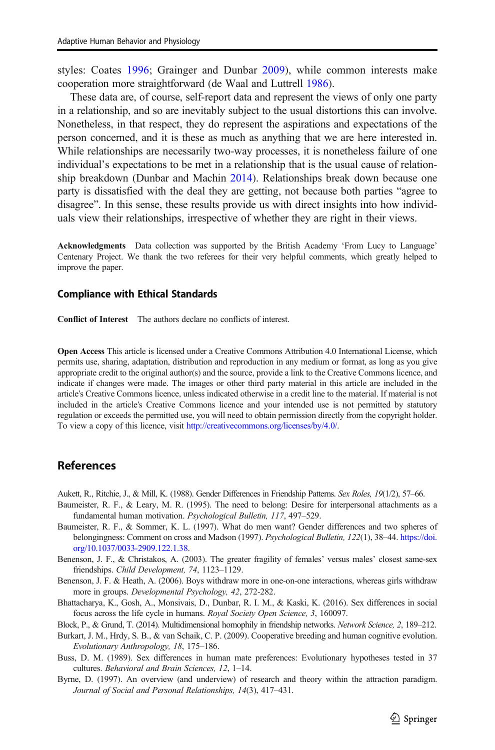<span id="page-12-0"></span>styles: Coates [1996](#page-13-0); Grainger and Dunbar [2009](#page-13-0)), while common interests make cooperation more straightforward (de Waal and Luttrell [1986\)](#page-13-0).

These data are, of course, self-report data and represent the views of only one party in a relationship, and so are inevitably subject to the usual distortions this can involve. Nonetheless, in that respect, they do represent the aspirations and expectations of the person concerned, and it is these as much as anything that we are here interested in. While relationships are necessarily two-way processes, it is nonetheless failure of one individual's expectations to be met in a relationship that is the usual cause of relationship breakdown (Dunbar and Machin [2014](#page-13-0)). Relationships break down because one party is dissatisfied with the deal they are getting, not because both parties "agree to disagree". In this sense, these results provide us with direct insights into how individuals view their relationships, irrespective of whether they are right in their views.

Acknowledgments Data collection was supported by the British Academy 'From Lucy to Language' Centenary Project. We thank the two referees for their very helpful comments, which greatly helped to improve the paper.

#### Compliance with Ethical Standards

Conflict of Interest The authors declare no conflicts of interest.

Open Access This article is licensed under a Creative Commons Attribution 4.0 International License, which permits use, sharing, adaptation, distribution and reproduction in any medium or format, as long as you give appropriate credit to the original author(s) and the source, provide a link to the Creative Commons licence, and indicate if changes were made. The images or other third party material in this article are included in the article's Creative Commons licence, unless indicated otherwise in a credit line to the material. If material is not included in the article's Creative Commons licence and your intended use is not permitted by statutory regulation or exceeds the permitted use, you will need to obtain permission directly from the copyright holder. To view a copy of this licence, visit [http://creativecommons.org/licenses/by/4.0/](https://doi.org/).

### **References**

- Aukett, R., Ritchie, J., & Mill, K. (1988). Gender Differences in Friendship Patterns. Sex Roles, 19(1/2), 57–66.
- Baumeister, R. F., & Leary, M. R. (1995). The need to belong: Desire for interpersonal attachments as a fundamental human motivation. Psychological Bulletin, 117, 497–529.
- Baumeister, R. F., & Sommer, K. L. (1997). What do men want? Gender differences and two spheres of belongingness: Comment on cross and Madson (1997). Psychological Bulletin, 122(1), 38–44. [https://doi.](https://doi.org/10.1037/0033-2909.122.1.38) [org/10.1037/0033-2909.122.1.38.](https://doi.org/10.1037/0033-2909.122.1.38)
- Benenson, J. F., & Christakos, A. (2003). The greater fragility of females' versus males' closest same-sex friendships. Child Development, 74, 1123–1129.
- Benenson, J. F. & Heath, A. (2006). Boys withdraw more in one-on-one interactions, whereas girls withdraw more in groups. Developmental Psychology, 42, 272-282.
- Bhattacharya, K., Gosh, A., Monsivais, D., Dunbar, R. I. M., & Kaski, K. (2016). Sex differences in social focus across the life cycle in humans. Royal Society Open Science, 3, 160097.
- Block, P., & Grund, T. (2014). Multidimensional homophily in friendship networks. Network Science, 2, 189–212.
- Burkart, J. M., Hrdy, S. B., & van Schaik, C. P. (2009). Cooperative breeding and human cognitive evolution. Evolutionary Anthropology, 18, 175–186.
- Buss, D. M. (1989). Sex differences in human mate preferences: Evolutionary hypotheses tested in 37 cultures. Behavioral and Brain Sciences, 12, 1–14.
- Byrne, D. (1997). An overview (and underview) of research and theory within the attraction paradigm. Journal of Social and Personal Relationships, 14(3), 417–431.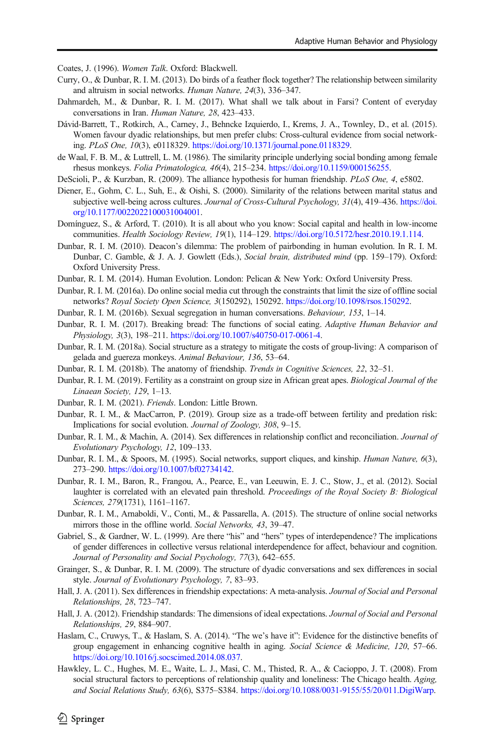<span id="page-13-0"></span>Coates, J. (1996). Women Talk. Oxford: Blackwell.

- Curry, O., & Dunbar, R. I. M. (2013). Do birds of a feather flock together? The relationship between similarity and altruism in social networks. Human Nature, 24(3), 336–347.
- Dahmardeh, M., & Dunbar, R. I. M. (2017). What shall we talk about in Farsi? Content of everyday conversations in Iran. Human Nature, 28, 423–433.
- Dávid-Barrett, T., Rotkirch, A., Carney, J., Behncke Izquierdo, I., Krems, J. A., Townley, D., et al. (2015). Women favour dyadic relationships, but men prefer clubs: Cross-cultural evidence from social networking. PLoS One, 10(3), e0118329. [https://doi.org/10.1371/journal.pone.0118329.](https://doi.org/10.1371/journal.pone.0118329)
- de Waal, F. B. M., & Luttrell, L. M. (1986). The similarity principle underlying social bonding among female rhesus monkeys. Folia Primatologica, 46(4), 215–234. [https://doi.org/10.1159/000156255.](https://doi.org/10.1159/000156255)
- DeScioli, P., & Kurzban, R. (2009). The alliance hypothesis for human friendship. *PLoS One*, 4, e5802.
- Diener, E., Gohm, C. L., Suh, E., & Oishi, S. (2000). Similarity of the relations between marital status and subjective well-being across cultures. Journal of Cross-Cultural Psychology, 31(4), 419–436. [https://doi.](https://doi.org/10.1177/0022022100031004001) [org/10.1177/0022022100031004001](https://doi.org/10.1177/0022022100031004001).
- Domínguez, S., & Arford, T. (2010). It is all about who you know: Social capital and health in low-income communities. Health Sociology Review, 19(1), 114–129. <https://doi.org/10.5172/hesr.2010.19.1.114>.
- Dunbar, R. I. M. (2010). Deacon's dilemma: The problem of pairbonding in human evolution. In R. I. M. Dunbar, C. Gamble, & J. A. J. Gowlett (Eds.), Social brain, distributed mind (pp. 159–179). Oxford: Oxford University Press.
- Dunbar, R. I. M. (2014). Human Evolution. London: Pelican & New York: Oxford University Press.
- Dunbar, R. I. M. (2016a). Do online social media cut through the constraints that limit the size of offline social networks? Royal Society Open Science, 3(150292), 150292. [https://doi.org/10.1098/rsos.150292.](https://doi.org/10.1098/rsos.150292)
- Dunbar, R. I. M. (2016b). Sexual segregation in human conversations. Behaviour, 153, 1–14.
- Dunbar, R. I. M. (2017). Breaking bread: The functions of social eating. Adaptive Human Behavior and Physiology, 3(3), 198–211. <https://doi.org/10.1007/s40750-017-0061-4>.
- Dunbar, R. I. M. (2018a). Social structure as a strategy to mitigate the costs of group-living: A comparison of gelada and guereza monkeys. Animal Behaviour, 136, 53–64.
- Dunbar, R. I. M. (2018b). The anatomy of friendship. Trends in Cognitive Sciences, 22, 32–51.
- Dunbar, R. I. M. (2019). Fertility as a constraint on group size in African great apes. Biological Journal of the Linaean Society, 129, 1–13.
- Dunbar, R. I. M. (2021). Friends. London: Little Brown.
- Dunbar, R. I. M., & MacCarron, P. (2019). Group size as a trade-off between fertility and predation risk: Implications for social evolution. Journal of Zoology, 308, 9–15.
- Dunbar, R. I. M., & Machin, A. (2014). Sex differences in relationship conflict and reconciliation. Journal of Evolutionary Psychology, 12, 109–133.
- Dunbar, R. I. M., & Spoors, M. (1995). Social networks, support cliques, and kinship. *Human Nature*, 6(3), 273–290. [https://doi.org/10.1007/bf02734142.](https://doi.org/10.1007/bf02734142)
- Dunbar, R. I. M., Baron, R., Frangou, A., Pearce, E., van Leeuwin, E. J. C., Stow, J., et al. (2012). Social laughter is correlated with an elevated pain threshold. Proceedings of the Royal Society B: Biological Sciences, 279(1731), 1161–1167.
- Dunbar, R. I. M., Arnaboldi, V., Conti, M., & Passarella, A. (2015). The structure of online social networks mirrors those in the offline world. Social Networks, 43, 39–47.
- Gabriel, S., & Gardner, W. L. (1999). Are there "his" and "hers" types of interdependence? The implications of gender differences in collective versus relational interdependence for affect, behaviour and cognition. Journal of Personality and Social Psychology, 77(3), 642–655.
- Grainger, S., & Dunbar, R. I. M. (2009). The structure of dyadic conversations and sex differences in social style. Journal of Evolutionary Psychology, 7, 83–93.
- Hall, J. A. (2011). Sex differences in friendship expectations: A meta-analysis. Journal of Social and Personal Relationships, 28, 723–747.
- Hall, J. A. (2012). Friendship standards: The dimensions of ideal expectations. Journal of Social and Personal Relationships, 29, 884–907.
- Haslam, C., Cruwys, T., & Haslam, S. A. (2014). "The we's have it": Evidence for the distinctive benefits of group engagement in enhancing cognitive health in aging. Social Science & Medicine, 120, 57–66. <https://doi.org/10.1016/j.socscimed.2014.08.037>.
- Hawkley, L. C., Hughes, M. E., Waite, L. J., Masi, C. M., Thisted, R. A., & Cacioppo, J. T. (2008). From social structural factors to perceptions of relationship quality and loneliness: The Chicago health. Aging, and Social Relations Study, 63(6), S375–S384. <https://doi.org/10.1088/0031-9155/55/20/011.DigiWarp>.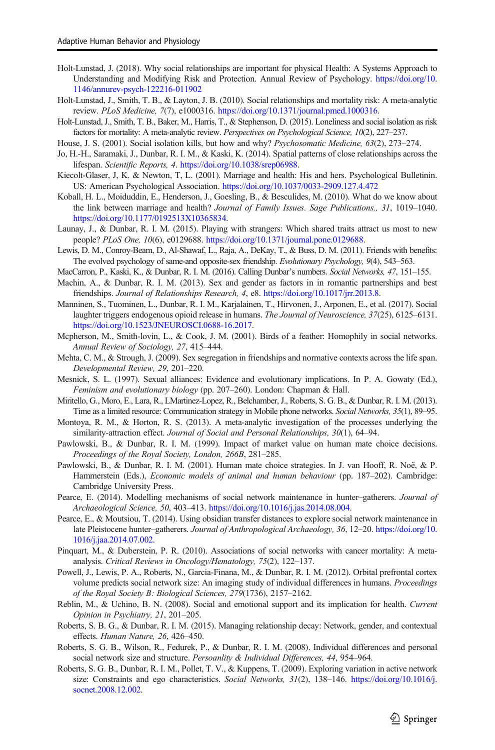- <span id="page-14-0"></span>Holt-Lunstad, J. (2018). Why social relationships are important for physical Health: A Systems Approach to Understanding and Modifying Risk and Protection. Annual Review of Psychology. [https://doi.org/10.](https://doi.org/10.1146/annurev-psych-122216-011902) [1146/annurev-psych-122216-011902](https://doi.org/10.1146/annurev-psych-122216-011902)
- Holt-Lunstad, J., Smith, T. B., & Layton, J. B. (2010). Social relationships and mortality risk: A meta-analytic review. PLoS Medicine, 7(7), e1000316. <https://doi.org/10.1371/journal.pmed.1000316>.
- Holt-Lunstad, J., Smith, T. B., Baker, M., Harris, T., & Stephenson, D. (2015). Loneliness and social isolation as risk factors for mortality: A meta-analytic review. Perspectives on Psychological Science, 10(2), 227–237.
- House, J. S. (2001). Social isolation kills, but how and why? Psychosomatic Medicine, 63(2), 273-274.
- Jo, H.-H., Saramaki, J., Dunbar, R. I. M., & Kaski, K. (2014). Spatial patterns of close relationships across the lifespan. Scientific Reports, 4. <https://doi.org/10.1038/srep06988>.
- Kiecolt-Glaser, J, K. & Newton, T, L. (2001). Marriage and health: His and hers. Psychological Bulletinin. US: American Psychological Association. <https://doi.org/10.1037/0033-2909.127.4.472>
- Koball, H. L., Moiduddin, E., Henderson, J., Goesling, B., & Besculides, M. (2010). What do we know about the link between marriage and health? Journal of Family Issues. Sage Publications., 31, 1019–1040. [https://doi.org/10.1177/0192513X10365834.](https://doi.org/10.1177/0192513X10365834)
- Launay, J., & Dunbar, R. I. M. (2015). Playing with strangers: Which shared traits attract us most to new people? PLoS One, 10(6), e0129688. [https://doi.org/10.1371/journal.pone.0129688.](https://doi.org/10.1371/journal.pone.0129688)
- Lewis, D. M., Conroy-Beam, D., Al-Shawaf, L., Raja, A., DeKay, T., & Buss, D. M. (2011). Friends with benefits: The evolved psychology of same-and opposite-sex friendship. Evolutionary Psychology, 9(4), 543–563.
- MacCarron, P., Kaski, K., & Dunbar, R. I. M. (2016). Calling Dunbar's numbers. Social Networks, 47, 151–155.
- Machin, A., & Dunbar, R. I. M. (2013). Sex and gender as factors in in romantic partnerships and best friendships. Journal of Relationships Research, 4, e8. <https://doi.org/10.1017/jrr.2013.8>.
- Manninen, S., Tuominen, L., Dunbar, R. I. M., Karjalainen, T., Hirvonen, J., Arponen, E., et al. (2017). Social laughter triggers endogenous opioid release in humans. The Journal of Neuroscience, 37(25), 6125–6131. [https://doi.org/10.1523/JNEUROSCI.0688-16.2017.](https://doi.org/10.1523/JNEUROSCI.0688-16.2017)
- Mcpherson, M., Smith-lovin, L., & Cook, J. M. (2001). Birds of a feather: Homophily in social networks. Annual Review of Sociology, 27, 415–444.
- Mehta, C. M., & Strough, J. (2009). Sex segregation in friendships and normative contexts across the life span. Developmental Review, 29, 201–220.
- Mesnick, S. L. (1997). Sexual alliances: Evidence and evolutionary implications. In P. A. Gowaty (Ed.), Feminism and evolutionary biology (pp. 207–260). London: Chapman & Hall.
- Miritello, G., Moro, E., Lara, R., LMartinez-Lopez, R., Belchamber, J., Roberts, S. G. B., & Dunbar, R. I. M. (2013). Time as a limited resource: Communication strategy in Mobile phone networks. Social Networks, 35(1), 89–95.
- Montoya, R. M., & Horton, R. S. (2013). A meta-analytic investigation of the processes underlying the similarity-attraction effect. Journal of Social and Personal Relationships, 30(1), 64-94.
- Pawlowski, B., & Dunbar, R. I. M. (1999). Impact of market value on human mate choice decisions. Proceedings of the Royal Society, London, 266B, 281–285.
- Pawlowski, B., & Dunbar, R. I. M. (2001). Human mate choice strategies. In J. van Hooff, R. Noë, & P. Hammerstein (Eds.), Economic models of animal and human behaviour (pp. 187–202). Cambridge: Cambridge University Press.
- Pearce, E. (2014). Modelling mechanisms of social network maintenance in hunter–gatherers. Journal of Archaeological Science, 50, 403–413. [https://doi.org/10.1016/j.jas.2014.08.004.](https://doi.org/10.1016/j.jas.2014.08.004)
- Pearce, E., & Moutsiou, T. (2014). Using obsidian transfer distances to explore social network maintenance in late Pleistocene hunter–gatherers. Journal of Anthropological Archaeology, 36, 12–20. [https://doi.org/10.](https://doi.org/10.1016/j.jaa.2014.07.002) [1016/j.jaa.2014.07.002.](https://doi.org/10.1016/j.jaa.2014.07.002)
- Pinquart, M., & Duberstein, P. R. (2010). Associations of social networks with cancer mortality: A metaanalysis. Critical Reviews in Oncology/Hematology, 75(2), 122–137.
- Powell, J., Lewis, P. A., Roberts, N., Garcia-Finana, M., & Dunbar, R. I. M. (2012). Orbital prefrontal cortex volume predicts social network size: An imaging study of individual differences in humans. Proceedings of the Royal Society B: Biological Sciences, 279(1736), 2157–2162.
- Reblin, M., & Uchino, B. N. (2008). Social and emotional support and its implication for health. Current Opinion in Psychiatry, 21, 201–205.
- Roberts, S. B. G., & Dunbar, R. I. M. (2015). Managing relationship decay: Network, gender, and contextual effects. Human Nature, 26, 426–450.
- Roberts, S. G. B., Wilson, R., Fedurek, P., & Dunbar, R. I. M. (2008). Individual differences and personal social network size and structure. Persoanlity & Individual Differences, 44, 954–964.
- Roberts, S. G. B., Dunbar, R. I. M., Pollet, T. V., & Kuppens, T. (2009). Exploring variation in active network size: Constraints and ego characteristics. Social Networks, 31(2), 138–146. [https://doi.org/10.1016/j.](https://doi.org/10.1016/j.socnet.2008.12.002) [socnet.2008.12.002](https://doi.org/10.1016/j.socnet.2008.12.002).